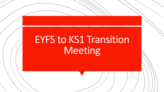# EYFS to KS1 Transition **Meeting**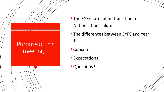#### Purpose of this meeting…

- **The EYFS curriculum transition to** National Curriculum
- **The differences between EYFS and Year** 1
- Concerns
- **Expectations**
- **Questions?**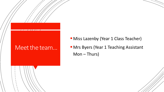#### Meet the team...

- **E** Miss Lazenby (Year 1 Class Teacher)
- **INrs Byers (Year 1 Teaching Assistant** Mon – Thurs)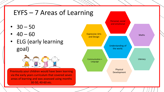# EYFS – 7 Areas of Learning

- $30 50$
- $40 60$
- ELG (early learning goal)



Previously your children would have been learning via the early years curriculum that covered seven areas of learning and was assessed using months 30-50, 40-60 etc.

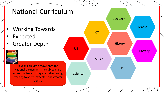# National Curriculum

- Working Towards
- **Expected**
- 



In Year 1 children move onto the National Curriculum. The subjects are more concise and they are judged using working towards, expected and greater depth.

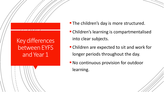#### Key differences between EYFS and Year 1

- **The children's day is more structured.**
- Children's learning is compartmentalised into clear subjects.
- Children are expected to sit and work for longer periods throughout the day.
- **No continuous provision for outdoor** learning.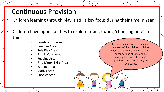# Continuous Provision

- Children learning through play is still a key focus during their time in Year 1.
- Children have opportunities to explore topics during 'choosing time' in the:
	- Construction Area
	- Creative Area
	- Role Play Area
	- Small World Area
	- Reading Area
	- Fine-Motor Skills Area
	- Writing Area
	- Math's Area
	- Phonics Area

The provision available is based on the needs of the children. If children show that they are able to work for longer periods of time and are spending less time 'choosing' in provision then it will slowly be decreased.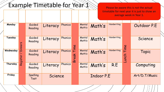### Example Timetable for Year 1

Please be aware this is not the actual timetable for next year it is just to show an average week in Year 1.

| Monday    |          | Guided<br>Reading | Literacy | Phonics |                   | Mental<br>Math's | Math's | <b>Handwriting</b> |               | Outdoor P.E |           |
|-----------|----------|-------------------|----------|---------|-------------------|------------------|--------|--------------------|---------------|-------------|-----------|
| Tuesday   | Dinners  | Guided<br>Reading | Literacy | Phonics | Time              | Mental<br>Math's | Math's | Handwriting        | Time          | Science     |           |
| Wednesday | Register | Guided<br>Reading | Literacy | Phonics | Break             | Mental<br>Math's | Math's | Handwriting        | Lunch         |             | Topic     |
| Thursday  |          | Guided<br>Reading | Literacy | Phonics |                   | Mental<br>Math's | Math's | R.E                |               |             | Computing |
| Friday    |          | Spelling<br>Test  | Science  |         | <b>Indoor P.E</b> |                  |        |                    | Art/D.T/Music |             |           |
|           |          |                   |          |         |                   |                  |        |                    |               |             |           |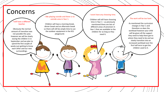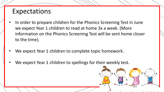#### Expectations

- In order to prepare children for the Phonics Screening Test in June we expect Year 1 children to read at home 3x a week. (More information on the Phonics Screening Test will be sent home closer to the time).
- We expect Year 1 children to complete topic homework.
- We expect Year 1 children to spellings for their weekly test.